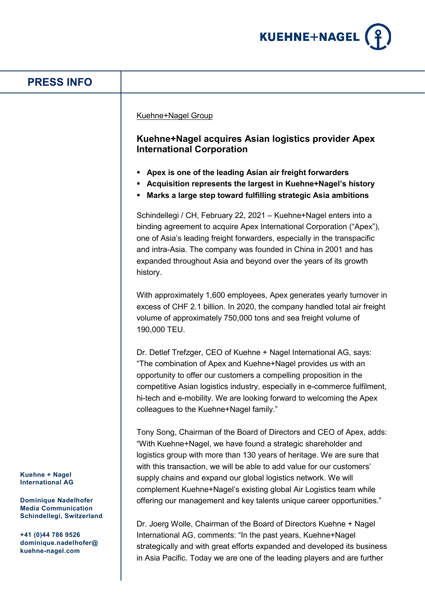

## **Kuehne + Nagel International AG Dominique Nadelhofer Media Communication Schindellegi, Switzerland +41 (0)44 786 9526 dominique.nadelhofer@ kuehne-nagel.com PRESS INFO** Kuehne+Nagel Group **Kuehne+Nagel acquires Asian logistics provider Apex International Corporation Apex is one of the leading Asian air freight forwarders Acquisition represents the largest in Kuehne+Nagel's history Marks a large step toward fulfilling strategic Asia ambitions** Schindellegi / CH, February 22, 2021 – Kuehne+Nagel enters into a binding agreement to acquire Apex International Corporation ("Apex"), one of Asia's leading freight forwarders, especially in the transpacific and intra-Asia. The company was founded in China in 2001 and has expanded throughout Asia and beyond over the years of its growth history. With approximately 1,600 employees, Apex generates yearly turnover in excess of CHF 2.1 billion. In 2020, the company handled total air freight volume of approximately 750,000 tons and sea freight volume of 190,000 TEU. Dr. Detlef Trefzger, CEO of Kuehne + Nagel International AG, says: "The combination of Apex and Kuehne+Nagel provides us with an opportunity to offer our customers a compelling proposition in the competitive Asian logistics industry, especially in e-commerce fulfilment, hi-tech and e-mobility. We are looking forward to welcoming the Apex colleagues to the Kuehne+Nagel family." Tony Song, Chairman of the Board of Directors and CEO of Apex, adds: "With Kuehne+Nagel, we have found a strategic shareholder and logistics group with more than 130 years of heritage. We are sure that with this transaction, we will be able to add value for our customers' supply chains and expand our global logistics network. We will complement Kuehne+Nagel's existing global Air Logistics team while offering our management and key talents unique career opportunities." Dr. Joerg Wolle, Chairman of the Board of Directors Kuehne + Nagel International AG, comments: "In the past years, Kuehne+Nagel strategically and with great efforts expanded and developed its business

in Asia Pacific. Today we are one of the leading players and are further